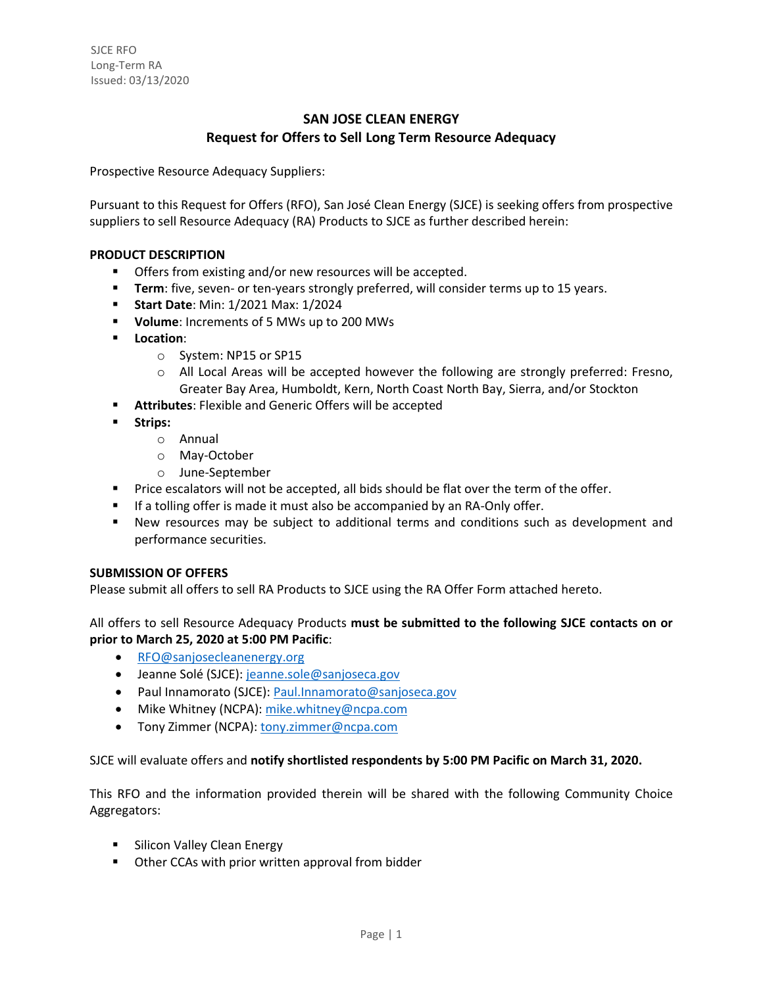# **SAN JOSE CLEAN ENERGY Request for Offers to Sell Long Term Resource Adequacy**

Prospective Resource Adequacy Suppliers:

Pursuant to this Request for Offers (RFO), San José Clean Energy (SJCE) is seeking offers from prospective suppliers to sell Resource Adequacy (RA) Products to SJCE as further described herein:

# **PRODUCT DESCRIPTION**

- Offers from existing and/or new resources will be accepted.
- **Term**: five, seven- or ten-years strongly preferred, will consider terms up to 15 years.
- **Start Date**: Min: 1/2021 Max: 1/2024
- **Volume**: Increments of 5 MWs up to 200 MWs
- **Location**:
	- o System: NP15 or SP15
	- $\circ$  All Local Areas will be accepted however the following are strongly preferred: Fresno, Greater Bay Area, Humboldt, Kern, North Coast North Bay, Sierra, and/or Stockton
- **Attributes**: Flexible and Generic Offers will be accepted
- **Strips:** 
	- o Annual
	- o May-October
	- o June-September
- Price escalators will not be accepted, all bids should be flat over the term of the offer.
- **■** If a tolling offer is made it must also be accompanied by an RA-Only offer.
- New resources may be subject to additional terms and conditions such as development and performance securities.

# **SUBMISSION OF OFFERS**

Please submit all offers to sell RA Products to SJCE using the RA Offer Form attached hereto.

All offers to sell Resource Adequacy Products **must be submitted to the following SJCE contacts on or prior to March 25, 2020 at 5:00 PM Pacific**:

- [RFO@sanjosecleanenergy.org](mailto:RFO@sanjosecleanenergy.org)
- Jeanne Solé (SJCE)[: jeanne.sole@sanjoseca.gov](mailto:jeanne.sole@sanjoseca.gov)
- Paul Innamorato (SJCE)[: Paul.Innamorato@sanjoseca.gov](mailto:Paul.Innamorato@sanjoseca.gov)
- Mike Whitney (NCPA): [mike.whitney@ncpa.com](mailto:mike.whitney@ncpa.com)
- Tony Zimmer (NCPA): [tony.zimmer@ncpa.com](mailto:tony.zimmer@ncpa.com)

SJCE will evaluate offers and **notify shortlisted respondents by 5:00 PM Pacific on March 31, 2020.**

This RFO and the information provided therein will be shared with the following Community Choice Aggregators:

- **E** Silicon Valley Clean Energy
- Other CCAs with prior written approval from bidder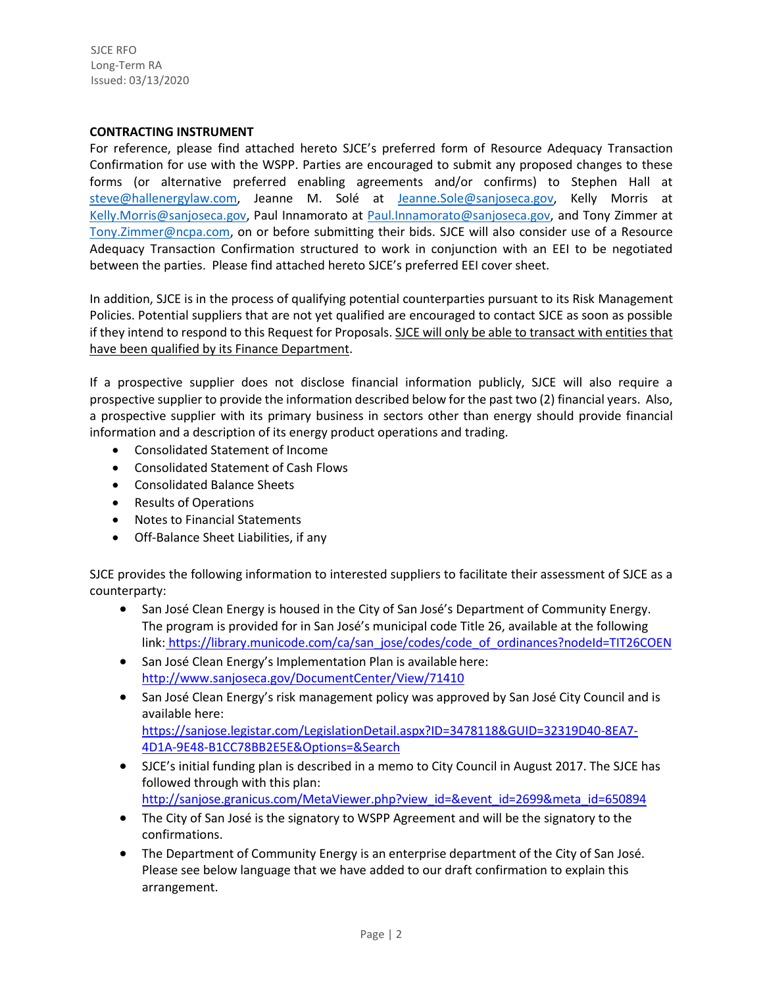SJCE RFO Long-Term RA Issued: 03/13/2020

### **CONTRACTING INSTRUMENT**

For reference, please find attached hereto SJCE's preferred form of Resource Adequacy Transaction Confirmation for use with the WSPP. Parties are encouraged to submit any proposed changes to these forms (or alternative preferred enabling agreements and/or confirms) to Stephen Hall at [steve@hallenergylaw.com,](mailto:steve@hallenergylaw.com) Jeanne M. Solé at [Jeanne.Sole@sanjoseca.gov,](mailto:Jeanne.Sole@sanjoseca.gov) Kelly Morris at [Kelly.Morris@sanjoseca.gov,](mailto:Kelly.Morris@sanjoseca.gov) Paul Innamorato at [Paul.Innamorato@sanjoseca.gov,](mailto:Paul.Innamorato@sanjoseca.gov) and Tony Zimmer at [Tony.Zimmer@ncpa.com,](mailto:Tony.Zimmer@ncpa.com) on or before submitting their bids. SJCE will also consider use of a Resource Adequacy Transaction Confirmation structured to work in conjunction with an EEI to be negotiated between the parties. Please find attached hereto SJCE's preferred EEI cover sheet.

In addition, SJCE is in the process of qualifying potential counterparties pursuant to its Risk Management Policies. Potential suppliers that are not yet qualified are encouraged to contact SJCE as soon as possible if they intend to respond to this Request for Proposals. SJCE will only be able to transact with entities that have been qualified by its Finance Department.

If a prospective supplier does not disclose financial information publicly, SJCE will also require a prospective supplier to provide the information described below for the past two (2) financial years. Also, a prospective supplier with its primary business in sectors other than energy should provide financial information and a description of its energy product operations and trading.

- Consolidated Statement of Income
- Consolidated Statement of Cash Flows
- Consolidated Balance Sheets
- Results of Operations
- Notes to Financial Statements
- Off-Balance Sheet Liabilities, if any

SJCE provides the following information to interested suppliers to facilitate their assessment of SJCE as a counterparty:

- San José Clean Energy is housed in the City of San José's Department of Community Energy. The program is provided for in San José's municipal code Title 26, available at the following link: [https://library.municode.com/ca/san\\_jose/codes/code\\_of\\_ordinances?nodeId=TIT26COEN](https://library.municode.com/ca/san_jose/codes/code_of_ordinances?nodeId=TIT26COEN)
- San José Clean Energy's Implementation Plan is available here[:](http://www.sanjoseca.gov/DocumentCenter/View/71410) <http://www.sanjoseca.gov/DocumentCenter/View/71410>
- San José Clean Energy's risk management policy was approved by San José City Council and is available here: <https://sanjose.legistar.com/LegislationDetail.aspx?ID=3478118&GUID=32319D40-8EA7-> [4D1A-9E48-B1CC78BB2E5E&Options=&Search](https://sanjose.legistar.com/LegislationDetail.aspx?ID=3478118&GUID=32319D40-8EA7-4D1A-9E48-B1CC78BB2E5E&Options&Search)
- SJCE's initial funding plan is described in a memo to City Council in August 2017. The SJCE has followed through with this plan: [http://sanjose.granicus.com/MetaViewer.php?view\\_id=&event\\_id=2699&meta\\_id=650894](http://sanjose.granicus.com/MetaViewer.php?view_id&event_id=2699&meta_id=650894)
- The City of San José is the signatory to WSPP Agreement and will be the signatory to the confirmations.
- The Department of Community Energy is an enterprise department of the City of San José. Please see below language that we have added to our draft confirmation to explain this arrangement.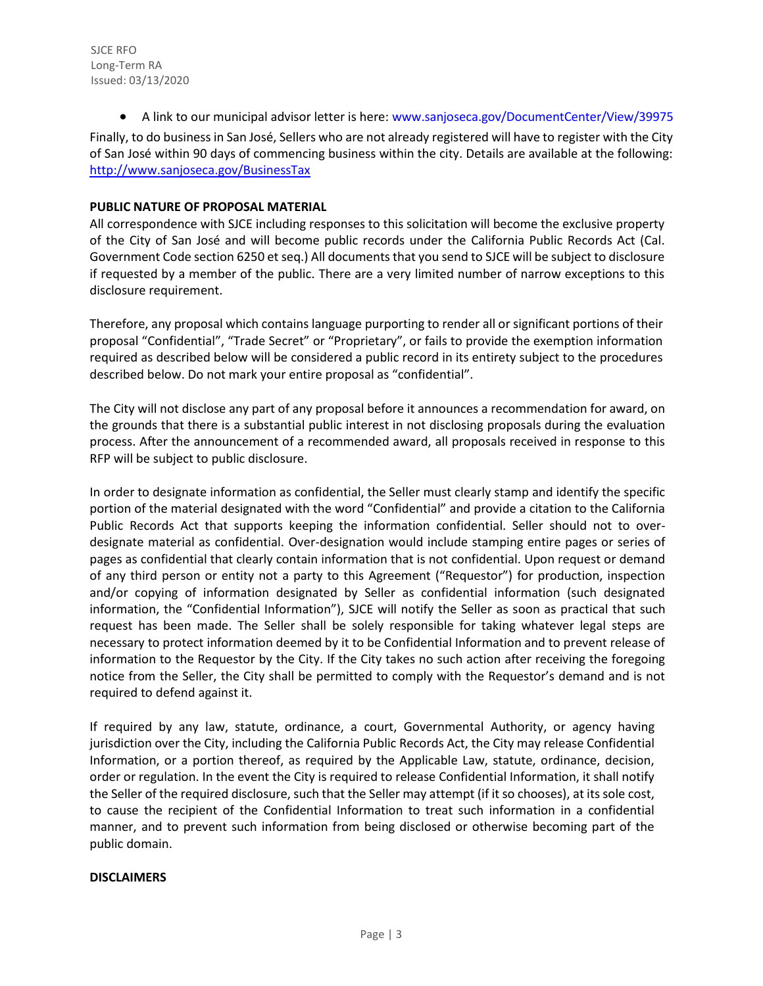SJCE RFO Long-Term RA Issued: 03/13/2020

• A link to our municipal advisor letter is here[: www.sanjoseca.gov/DocumentCenter/View/39975](http://www.sanjoseca.gov/DocumentCenter/View/39975) Finally, to do business in San José, Sellers who are not already registered will have to register with the City of San José within 90 days of commencing business within the city. Details are available at the following: <http://www.sanjoseca.gov/BusinessTax>

# **PUBLIC NATURE OF PROPOSAL MATERIAL**

All correspondence with SJCE including responses to this solicitation will become the exclusive property of the City of San José and will become public records under the California Public Records Act (Cal. Government Code section 6250 et seq.) All documents that you send to SJCE will be subject to disclosure if requested by a member of the public. There are a very limited number of narrow exceptions to this disclosure requirement.

Therefore, any proposal which contains language purporting to render all or significant portions of their proposal "Confidential", "Trade Secret" or "Proprietary", or fails to provide the exemption information required as described below will be considered a public record in its entirety subject to the procedures described below. Do not mark your entire proposal as "confidential".

The City will not disclose any part of any proposal before it announces a recommendation for award, on the grounds that there is a substantial public interest in not disclosing proposals during the evaluation process. After the announcement of a recommended award, all proposals received in response to this RFP will be subject to public disclosure.

In order to designate information as confidential, the Seller must clearly stamp and identify the specific portion of the material designated with the word "Confidential" and provide a citation to the California Public Records Act that supports keeping the information confidential. Seller should not to overdesignate material as confidential. Over-designation would include stamping entire pages or series of pages as confidential that clearly contain information that is not confidential. Upon request or demand of any third person or entity not a party to this Agreement ("Requestor") for production, inspection and/or copying of information designated by Seller as confidential information (such designated information, the "Confidential Information"), SJCE will notify the Seller as soon as practical that such request has been made. The Seller shall be solely responsible for taking whatever legal steps are necessary to protect information deemed by it to be Confidential Information and to prevent release of information to the Requestor by the City. If the City takes no such action after receiving the foregoing notice from the Seller, the City shall be permitted to comply with the Requestor's demand and is not required to defend against it.

If required by any law, statute, ordinance, a court, Governmental Authority, or agency having jurisdiction over the City, including the California Public Records Act, the City may release Confidential Information, or a portion thereof, as required by the Applicable Law, statute, ordinance, decision, order or regulation. In the event the City is required to release Confidential Information, it shall notify the Seller of the required disclosure, such that the Seller may attempt (if it so chooses), at its sole cost, to cause the recipient of the Confidential Information to treat such information in a confidential manner, and to prevent such information from being disclosed or otherwise becoming part of the public domain.

# **DISCLAIMERS**